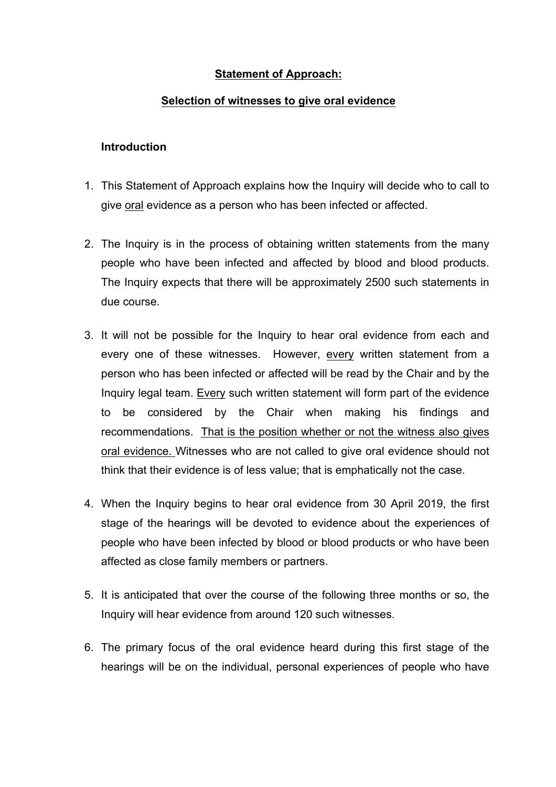## **Statement of Approach:**

## **Selection of witnesses to give oral evidence**

## **Introduction**

- 1. This Statement of Approach explains how the Inquiry will decide who to call to give oral evidence as a person who has been infected or affected.
- 2. The Inquiry is in the process of obtaining written statements from the many people who have been infected and affected by blood and blood products. The Inquiry expects that there will be approximately 2500 such statements in due course.
- 3. It will not be possible for the Inquiry to hear oral evidence from each and every one of these witnesses. However, every written statement from a person who has been infected or affected will be read by the Chair and by the Inquiry legal team. Every such written statement will form part of the evidence to be considered by the Chair when making his findings and recommendations. That is the position whether or not the witness also gives oral evidence. Witnesses who are not called to give oral evidence should not think that their evidence is of less value; that is emphatically not the case.
- 4. When the Inquiry begins to hear oral evidence from 30 April 2019, the first stage of the hearings will be devoted to evidence about the experiences of people who have been infected by blood or blood products or who have been affected as close family members or partners.
- 5. It is anticipated that over the course of the following three months or so, the Inquiry will hear evidence from around 120 such witnesses.
- 6. The primary focus of the oral evidence heard during this first stage of the hearings will be on the individual, personal experiences of people who have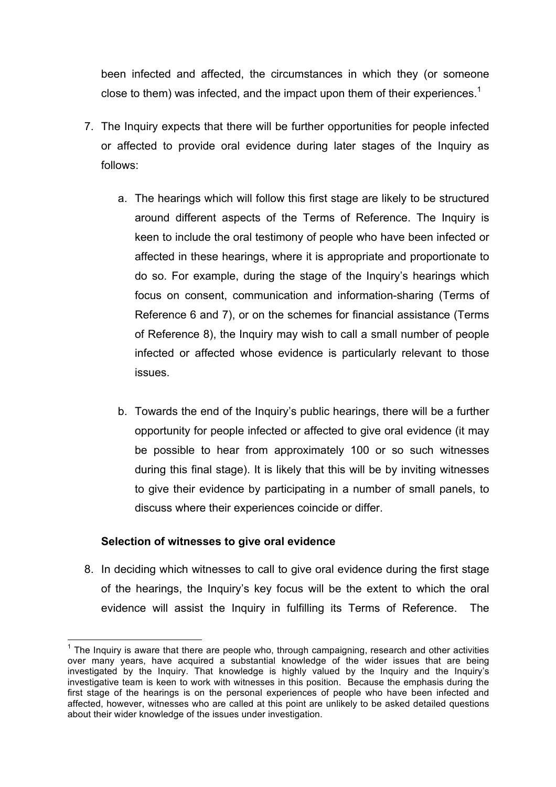been infected and affected, the circumstances in which they (or someone close to them) was infected, and the impact upon them of their experiences.<sup>1</sup>

- 7. The Inquiry expects that there will be further opportunities for people infected or affected to provide oral evidence during later stages of the Inquiry as follows:
	- a. The hearings which will follow this first stage are likely to be structured around different aspects of the Terms of Reference. The Inquiry is keen to include the oral testimony of people who have been infected or affected in these hearings, where it is appropriate and proportionate to do so. For example, during the stage of the Inquiry's hearings which focus on consent, communication and information-sharing (Terms of Reference 6 and 7), or on the schemes for financial assistance (Terms of Reference 8), the Inquiry may wish to call a small number of people infected or affected whose evidence is particularly relevant to those issues.
	- b. Towards the end of the Inquiry's public hearings, there will be a further opportunity for people infected or affected to give oral evidence (it may be possible to hear from approximately 100 or so such witnesses during this final stage). It is likely that this will be by inviting witnesses to give their evidence by participating in a number of small panels, to discuss where their experiences coincide or differ.

## **Selection of witnesses to give oral evidence**

8. In deciding which witnesses to call to give oral evidence during the first stage of the hearings, the Inquiry's key focus will be the extent to which the oral evidence will assist the Inquiry in fulfilling its Terms of Reference. The

 $<sup>1</sup>$  The Inquiry is aware that there are people who, through campaigning, research and other activities</sup> over many years, have acquired a substantial knowledge of the wider issues that are being investigated by the Inquiry. That knowledge is highly valued by the Inquiry and the Inquiry's investigative team is keen to work with witnesses in this position. Because the emphasis during the first stage of the hearings is on the personal experiences of people who have been infected and affected, however, witnesses who are called at this point are unlikely to be asked detailed questions about their wider knowledge of the issues under investigation.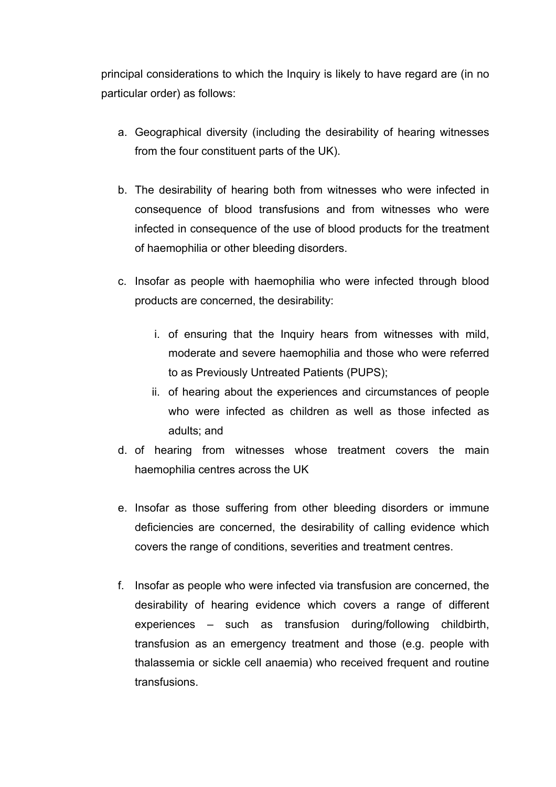principal considerations to which the Inquiry is likely to have regard are (in no particular order) as follows:

- a. Geographical diversity (including the desirability of hearing witnesses from the four constituent parts of the UK).
- b. The desirability of hearing both from witnesses who were infected in consequence of blood transfusions and from witnesses who were infected in consequence of the use of blood products for the treatment of haemophilia or other bleeding disorders.
- c. Insofar as people with haemophilia who were infected through blood products are concerned, the desirability:
	- i. of ensuring that the Inquiry hears from witnesses with mild, moderate and severe haemophilia and those who were referred to as Previously Untreated Patients (PUPS);
	- ii. of hearing about the experiences and circumstances of people who were infected as children as well as those infected as adults; and
- d. of hearing from witnesses whose treatment covers the main haemophilia centres across the UK
- e. Insofar as those suffering from other bleeding disorders or immune deficiencies are concerned, the desirability of calling evidence which covers the range of conditions, severities and treatment centres.
- f. Insofar as people who were infected via transfusion are concerned, the desirability of hearing evidence which covers a range of different experiences – such as transfusion during/following childbirth, transfusion as an emergency treatment and those (e.g. people with thalassemia or sickle cell anaemia) who received frequent and routine transfusions.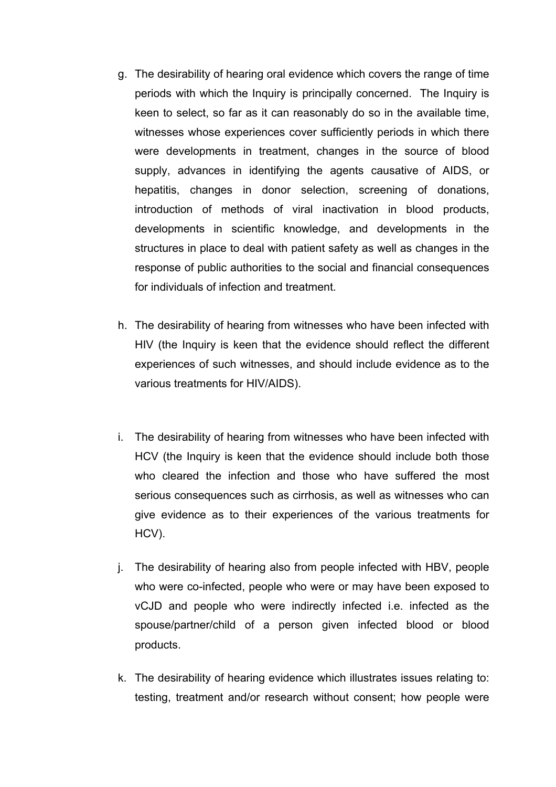- g. The desirability of hearing oral evidence which covers the range of time periods with which the Inquiry is principally concerned. The Inquiry is keen to select, so far as it can reasonably do so in the available time, witnesses whose experiences cover sufficiently periods in which there were developments in treatment, changes in the source of blood supply, advances in identifying the agents causative of AIDS, or hepatitis, changes in donor selection, screening of donations, introduction of methods of viral inactivation in blood products, developments in scientific knowledge, and developments in the structures in place to deal with patient safety as well as changes in the response of public authorities to the social and financial consequences for individuals of infection and treatment.
- h. The desirability of hearing from witnesses who have been infected with HIV (the Inquiry is keen that the evidence should reflect the different experiences of such witnesses, and should include evidence as to the various treatments for HIV/AIDS).
- i. The desirability of hearing from witnesses who have been infected with HCV (the Inquiry is keen that the evidence should include both those who cleared the infection and those who have suffered the most serious consequences such as cirrhosis, as well as witnesses who can give evidence as to their experiences of the various treatments for HCV).
- j. The desirability of hearing also from people infected with HBV, people who were co-infected, people who were or may have been exposed to vCJD and people who were indirectly infected i.e. infected as the spouse/partner/child of a person given infected blood or blood products.
- k. The desirability of hearing evidence which illustrates issues relating to: testing, treatment and/or research without consent; how people were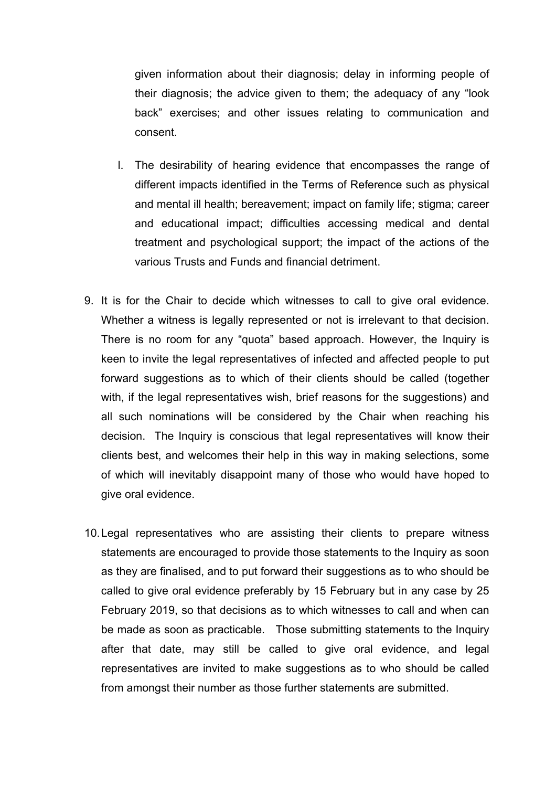given information about their diagnosis; delay in informing people of their diagnosis; the advice given to them; the adequacy of any "look back" exercises; and other issues relating to communication and consent.

- l. The desirability of hearing evidence that encompasses the range of different impacts identified in the Terms of Reference such as physical and mental ill health; bereavement; impact on family life; stigma; career and educational impact; difficulties accessing medical and dental treatment and psychological support; the impact of the actions of the various Trusts and Funds and financial detriment.
- 9. It is for the Chair to decide which witnesses to call to give oral evidence. Whether a witness is legally represented or not is irrelevant to that decision. There is no room for any "quota" based approach. However, the Inquiry is keen to invite the legal representatives of infected and affected people to put forward suggestions as to which of their clients should be called (together with, if the legal representatives wish, brief reasons for the suggestions) and all such nominations will be considered by the Chair when reaching his decision. The Inquiry is conscious that legal representatives will know their clients best, and welcomes their help in this way in making selections, some of which will inevitably disappoint many of those who would have hoped to give oral evidence.
- 10.Legal representatives who are assisting their clients to prepare witness statements are encouraged to provide those statements to the Inquiry as soon as they are finalised, and to put forward their suggestions as to who should be called to give oral evidence preferably by 15 February but in any case by 25 February 2019, so that decisions as to which witnesses to call and when can be made as soon as practicable. Those submitting statements to the Inquiry after that date, may still be called to give oral evidence, and legal representatives are invited to make suggestions as to who should be called from amongst their number as those further statements are submitted.